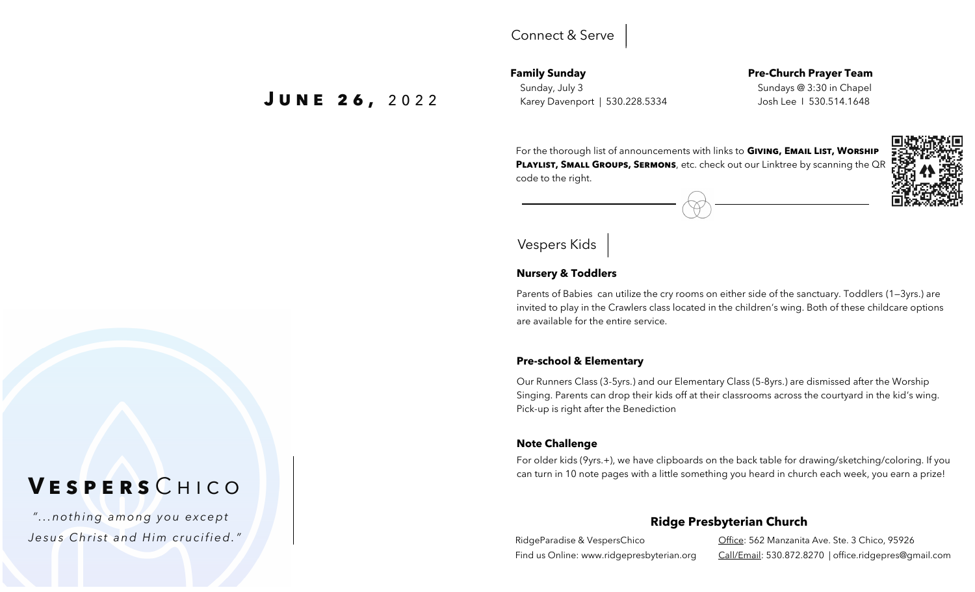### Connect & Serve

#### **Family Sunday**

 Sunday, July 3 Karey Davenport | 530.228.5334

#### **Pre-Church Prayer Team** Sundays @ 3:30 in Chapel

Josh Lee I 530.514.1648

For the thorough list of announcements with links to **Giving, Email List, Worshil PLAYLIST, SMALL GROUPS, SERMONS**, etc. check out our Linktree by scanning the QR code to the right.



#### **Nursery & Toddlers**

Parents of Babies can utilize the cry rooms on either side of the sanctuary. Toddlers (1—3yrs.) are invited to play in the Crawlers class located in the children's wing. Both of these childcare options are available for the entire service.

#### **Pre-school & Elementary**

Our Runners Class (3-5yrs.) and our Elementary Class (5-8yrs.) are dismissed after the Worship Singing. Parents can drop their kids off at their classrooms across the courtyard in the kid's wing. Pick-up is right after the Benediction

#### **Note Challenge**

For older kids (9yrs.+), we have clipboards on the back table for drawing/sketching/coloring. If you can turn in 10 note pages with a little something you heard in church each week, you earn a prize!

### **Ridge Presbyterian Church**

RidgeParadise & VespersChico Find us Online: www.ridgepresbyterian.org

Office: 562 Manzanita Ave. Ste. 3 Chico, 95926 Call/Email: 530.872.8270 | office.ridgepres@gmail.com

# **J u n e 2 6 ,** 2 0 2 2

# **V e s p e r s** C h i c o

*" . . .n o th i n g a m o ng y o u ex c e pt Jesus Christ and Him crucified.*<sup>"</sup>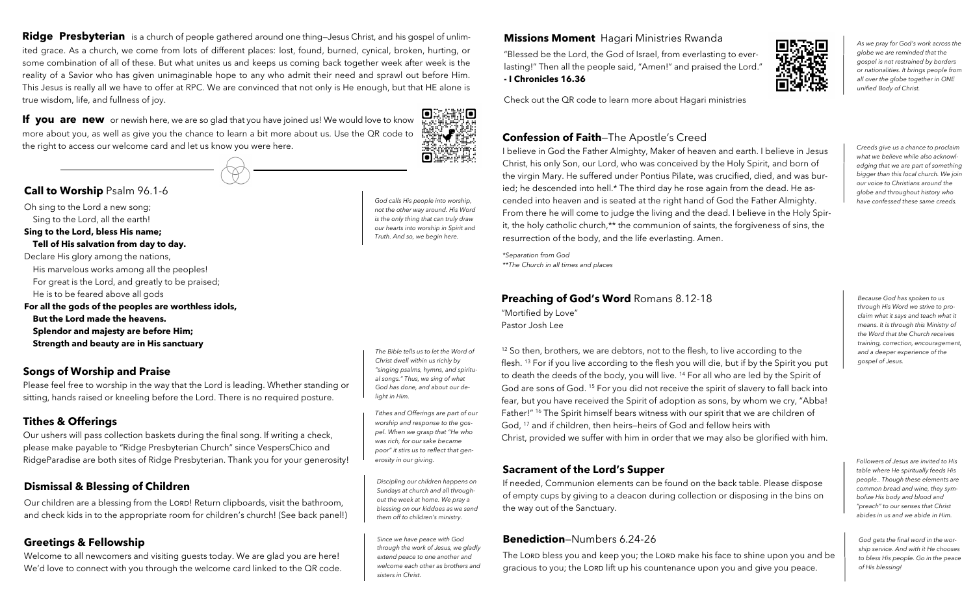**Ridge Presbyterian** is a church of people gathered around one thing—Jesus Christ, and his gospel of unlimited grace. As a church, we come from lots of different places: lost, found, burned, cynical, broken, hurting, or some combination of all of these. But what unites us and keeps us coming back together week after week is the reality of a Savior who has given unimaginable hope to any who admit their need and sprawl out before Him. This Jesus is really all we have to offer at RPC. We are convinced that not only is He enough, but that HE alone is true wisdom, life, and fullness of joy.

O **If you are new** or newish here, we are so glad that you have joined us! We would love to know more about you, as well as give you the chance to learn a bit more about us. Use the QR code to the right to access our welcome card and let us know you were here.

#### **Call to Worship** Psalm 96.1-6

Oh sing to the Lord a new song; Sing to the Lord, all the earth!

#### **Sing to the Lord, bless His name;**

#### **Tell of His salvation from day to day.**

Declare His glory among the nations,

- His marvelous works among all the peoples!
- For great is the Lord, and greatly to be praised;
- He is to be feared above all gods
- **For all the gods of the peoples are worthless idols, But the Lord made the heavens. Splendor and majesty are before Him;**
- **Strength and beauty are in His sanctuary**

#### **Songs of Worship and Praise**

Please feel free to worship in the way that the Lord is leading. Whether standing or sitting, hands raised or kneeling before the Lord. There is no required posture.

### **Tithes & Offerings**

Our ushers will pass collection baskets during the final song. If writing a check, please make payable to "Ridge Presbyterian Church" since VespersChico and RidgeParadise are both sites of Ridge Presbyterian. Thank you for your generosity!

### **Dismissal & Blessing of Children**

Our children are a blessing from the LORD! Return clipboards, visit the bathroom, and check kids in to the appropriate room for children's church! (See back panel!)

#### **Greetings & Fellowship**

Welcome to all newcomers and visiting guests today. We are glad you are here! We'd love to connect with you through the welcome card linked to the QR code. *not the other way around. His Word is the only thing that can truly draw our hearts into worship in Spirit and Truth. And so, we begin here.* 

*The Bible tells us to let the Word of* 

*Tithes and Offerings are part of our worship and response to the gospel. When we grasp that "He who was rich, for our sake became poor" it stirs us to reflect that generosity in our giving.*

*Discipling our children happens on Sundays at church and all throughout the week at home. We pray a blessing on our kiddoes as we send them off to children's ministry.* 

*Since we have peace with God through the work of Jesus, we gladly extend peace to one another and welcome each other as brothers and sisters in Christ.* 

#### **Missions Moment** Hagari Ministries Rwanda

"Blessed be the Lord, the God of Israel, from everlasting to everlasting!" Then all the people said, "Amen!" and praised the Lord.' **- I Chronicles 16.36**

Check out the QR code to learn more about Hagari ministries

#### **Confession of Faith**—The Apostle's Creed

I believe in God the Father Almighty, Maker of heaven and earth. I believe in Jesus Christ, his only Son, our Lord, who was conceived by the Holy Spirit, and born of the virgin Mary. He suffered under Pontius Pilate, was crucified, died, and was buried; he descended into hell.\* The third day he rose again from the dead. He as-God calls His people into worship, **heaved at the right hand of God the Father Almighty.** Have confessed these same creeds. From there he will come to judge the living and the dead. I believe in the Holy Spirit, the holy catholic church,\*\* the communion of saints, the forgiveness of sins, the resurrection of the body, and the life everlasting. Amen.

> *\*Separation from God \*\*The Church in all times and places*

#### **Preaching of God's Word** Romans 8.12-18 "Mortified by Love"

Pastor Josh Lee

<sup>12</sup> So then, brothers, we are debtors, not to the flesh, to live according to the flesh. <sup>13</sup> For if you live according to the flesh you will die, but if by the Spirit you put to death the deeds of the body, you will live. <sup>14</sup> For all who are led by the Spirit of God are sons of God. <sup>15</sup> For you did not receive the spirit of slavery to fall back into fear, but you have received the Spirit of adoption as sons, by whom we cry, "Abba! Father!" <sup>16</sup> The Spirit himself bears witness with our spirit that we are children of God, <sup>17</sup> and if children, then heirs—heirs of God and fellow heirs with Christ, provided we suffer with him in order that we may also be glorified with him.

#### **Sacrament of the Lord's Supper**

If needed, Communion elements can be found on the back table. Please dispose of empty cups by giving to a deacon during collection or disposing in the bins on the way out of the Sanctuary.

#### **Benediction**—Numbers 6.24-26

The LORD bless you and keep you; the LORD make his face to shine upon you and be gracious to you; the LORD lift up his countenance upon you and give you peace.

*Creeds give us a chance to proclaim what we believe while also acknowledging that we are part of something bigger than this local church. We join our voice to Christians around the globe and throughout history who* 

*As we pray for God's work across the globe we are reminded that the gospel is not restrained by borders or nationalities. It brings people from all over the globe together in ONE* 

*unified Body of Christ.* 

*Because God has spoken to us through His Word we strive to proclaim what it says and teach what it means. It is through this Ministry of the Word that the Church receives training, correction, encouragement, and a deeper experience of the gospel of Jesus.*



*people.. Though these elements are common bread and wine, they symbolize His body and blood and "preach" to our senses that Christ abides in us and we abide in Him.* 

*Followers of Jesus are invited to His table where He spiritually feeds His* 

*God gets the final word in the worship service. And with it He chooses to bless His people. Go in the peace of His blessing!*

*Christ dwell within us richly by "singing psalms, hymns, and spiritual songs." Thus, we sing of what God has done, and about our delight in Him.*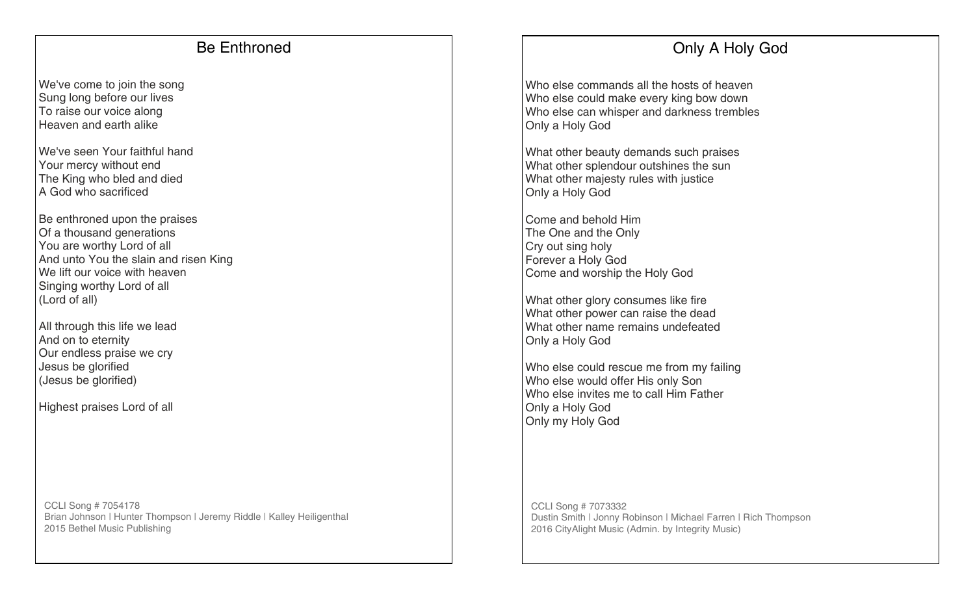### Be Enthroned

We've come to join the song Sung long before our lives To raise our voice along Heaven and earth alike

We've seen Your faithful hand Your mercy without end The King who bled and died A God who sacrificed

Be enthroned upon the praises Of a thousand generations You are worthy Lord of all And unto You the slain and risen King We lift our voice with heaven Singing worthy Lord of all (Lord of all)

All through this life we lead And on to eternity Our endless praise we cry Jesus be glorified (Jesus be glorified)

Highest praises Lord of all

CCLI Song # 7054178 Brian Johnson | Hunter Thompson | Jeremy Riddle | Kalley Heiligenthal 2015 Bethel Music Publishing

## Only A Holy God

Who else commands all the hosts of heaven Who else could make every king bow down Who else can whisper and darkness trembles Only a Holy God

What other beauty demands such praises What other splendour outshines the sun What other majesty rules with justice Only a Holy God

Come and behold Him The One and the Only Cry out sing holy Forever a Holy God Come and worship the Holy God

What other glory consumes like fire What other power can raise the dead What other name remains undefeated Only a Holy God

Who else could rescue me from my failing Who else would offer His only Son Who else invites me to call Him Father Only a Holy God Only my Holy God

CCLI Song # 7073332 Dustin Smith | Jonny Robinson | Michael Farren | Rich Thompson 2016 CityAlight Music (Admin. by Integrity Music)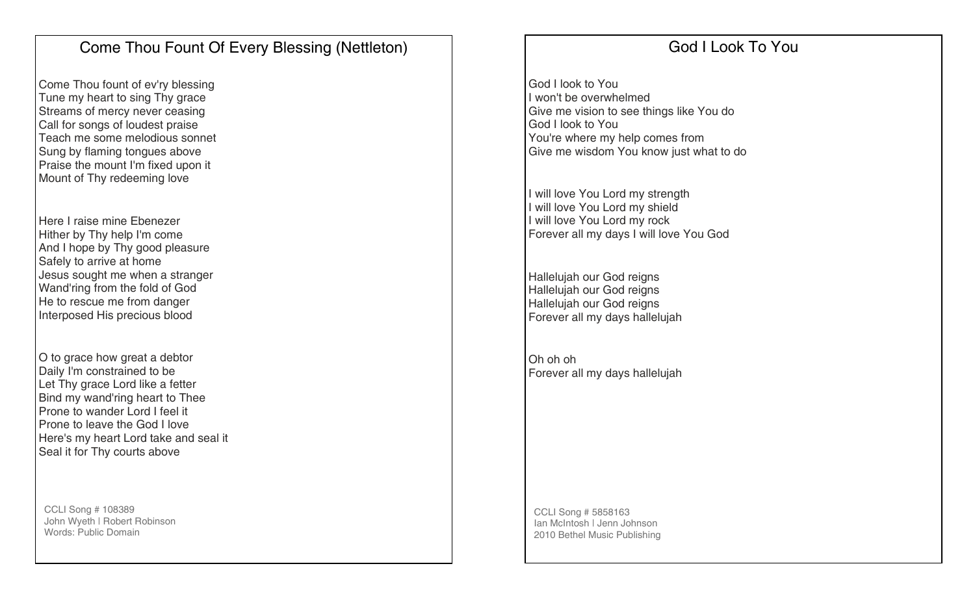### Come Thou Fount Of Every Blessing (Nettleton)

Come Thou fount of ev'ry blessing Tune my heart to sing Thy grace Streams of mercy never ceasing Call for songs of loudest praise Teach me some melodious sonnet Sung by flaming tongues above Praise the mount I'm fixed upon it Mount of Thy redeeming love

Here I raise mine Ebenezer Hither by Thy help I'm come And I hope by Thy good pleasure Safely to arrive at home Jesus sought me when a stranger Wand'ring from the fold of God He to rescue me from danger Interposed His precious blood

O to grace how great a debtor Daily I'm constrained to be Let Thy grace Lord like a fetter Bind my wand'ring heart to Thee Prone to wander Lord I feel it Prone to leave the God I love Here's my heart Lord take and seal it Seal it for Thy courts above

CCLI Song # 108389 John Wyeth | Robert Robinson Words: Public Domain

### God I Look To You

God I look to You I won't be overwhelmed Give me vision to see things like You do God I look to You You're where my help comes from Give me wisdom You know just what to do

I will love You Lord my strength I will love You Lord my shield I will love You Lord my rock Forever all my days I will love You God

Hallelujah our God reigns Hallelujah our God reigns Hallelujah our God reigns Forever all my days hallelujah

Oh oh oh Forever all my days hallelujah

CCLI Song # 5858163 Ian McIntosh | Jenn Johnson 2010 Bethel Music Publishing